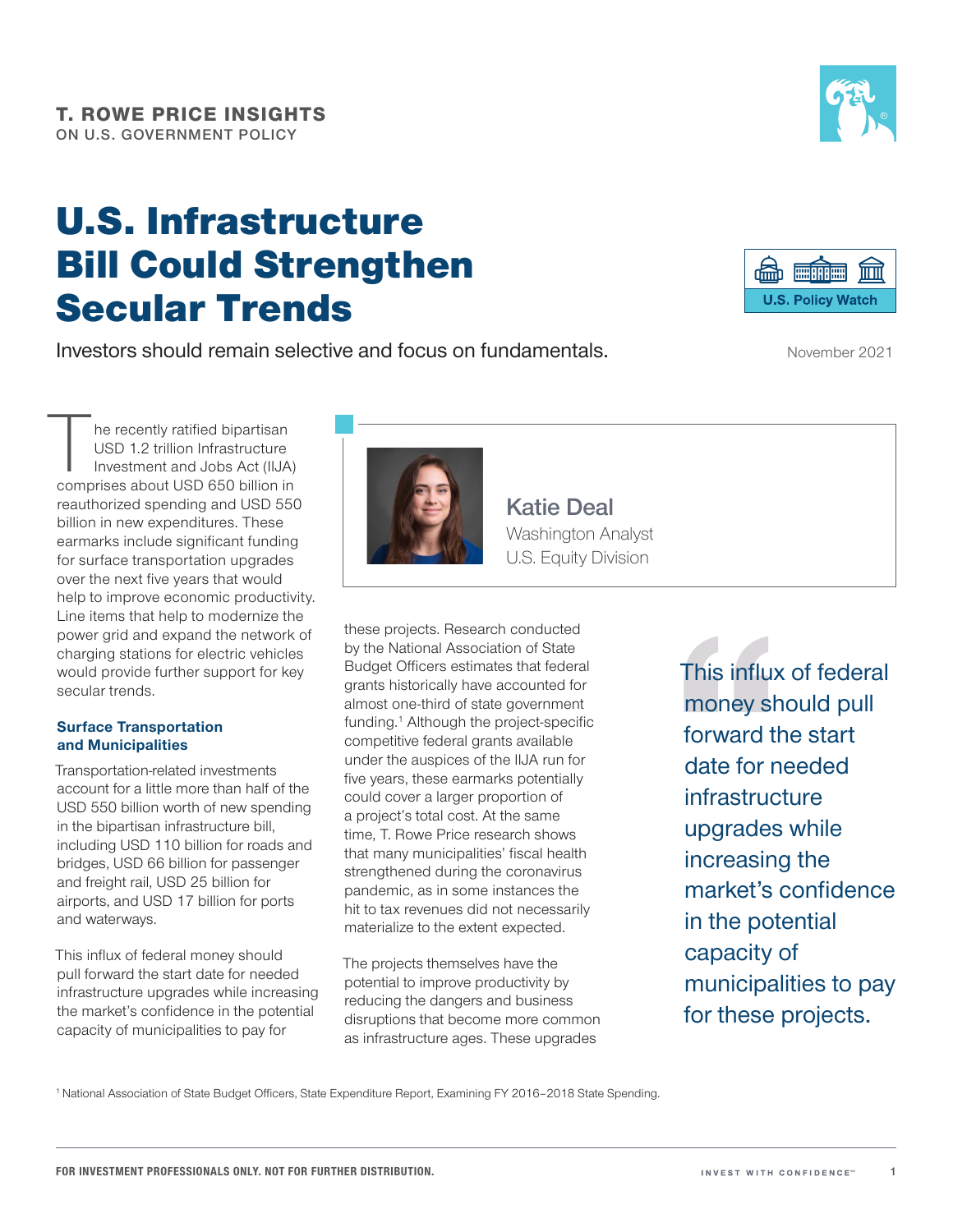# U.S. Infrastructure Bill Could Strengthen Secular Trends

Investors should remain selective and focus on fundamentals.

he recently ratified bipartisan USD 1.2 trillion Infrastructure Investment and Jobs Act (IIJA) comprises about USD 650 billion in reauthorized spending and USD 550 billion in new expenditures. These earmarks include significant funding for surface transportation upgrades over the next five years that would help to improve economic productivity. Line items that help to modernize the power grid and expand the network of charging stations for electric vehicles would provide further support for key secular trends.

#### **Surface Transportation and Municipalities**

Transportation‑related investments account for a little more than half of the USD 550 billion worth of new spending in the bipartisan infrastructure bill, including USD 110 billion for roads and bridges, USD 66 billion for passenger and freight rail, USD 25 billion for airports, and USD 17 billion for ports and waterways.

This influx of federal money should pull forward the start date for needed infrastructure upgrades while increasing the market's confidence in the potential capacity of municipalities to pay for

**Katie Deal**  Washington Analyst U.S. Equity Division

these projects. Research conducted by the National Association of State Budget Officers estimates that federal grants historically have accounted for almost one‑third of state government funding.<sup>1</sup> Although the project-specific competitive federal grants available under the auspices of the IIJA run for five years, these earmarks potentially could cover a larger proportion of a project's total cost. At the same time, T. Rowe Price research shows that many municipalities' fiscal health strengthened during the coronavirus pandemic, as in some instances the hit to tax revenues did not necessarily materialize to the extent expected.

The projects themselves have the potential to improve productivity by reducing the dangers and business disruptions that become more common as infrastructure ages. These upgrades

This influx of federal money should pull forward the start date for needed infrastructure upgrades while increasing the market's confidence in the potential capacity of municipalities to pay for these projects.

1National Association of State Budget Officers, State Expenditure Report, Examining FY 2016–2018 State Spending.

**1**





November 2021

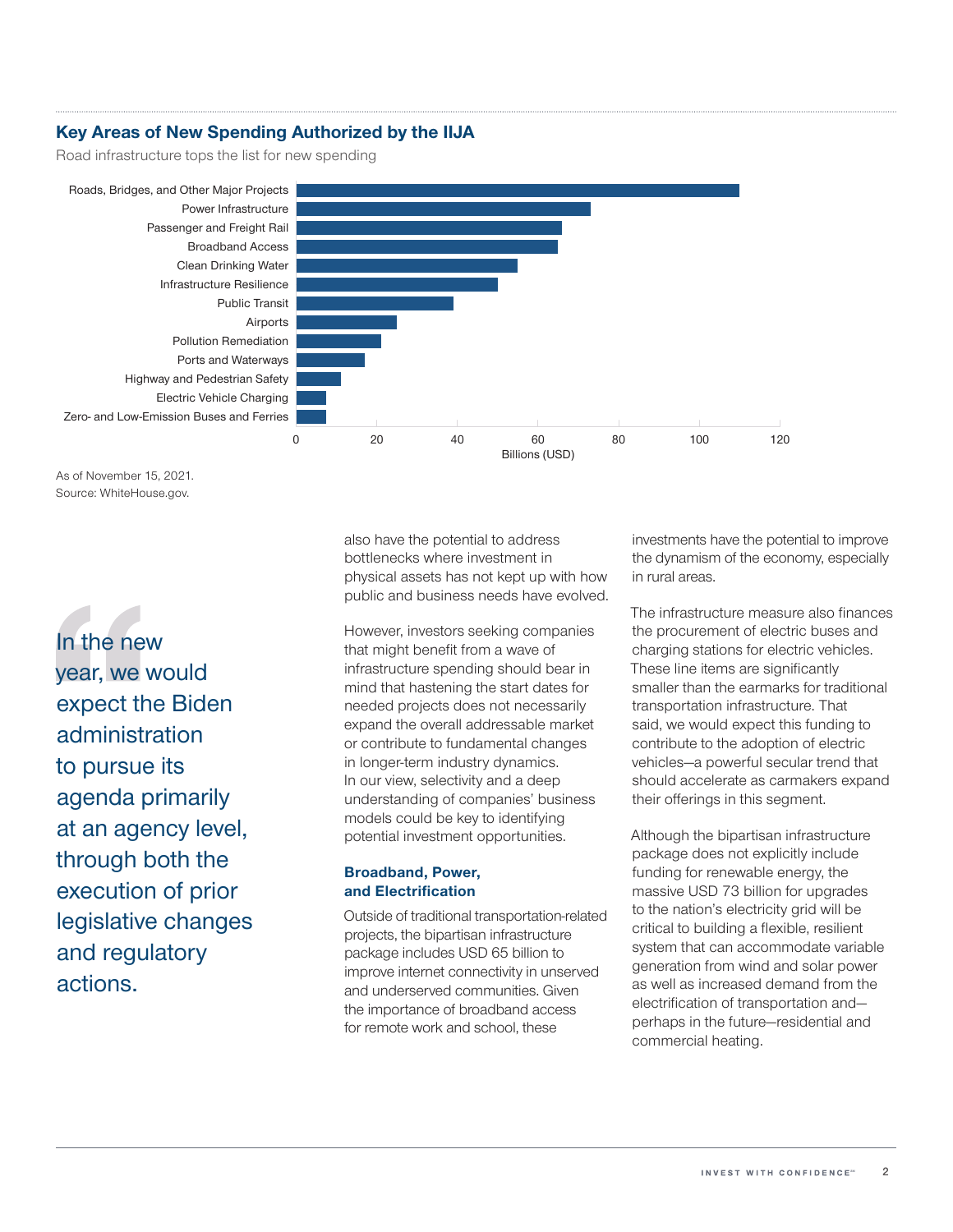### **Key Areas of New Spending Authorized by the IIJA**

Road infrastructure tops the list for new spending



As of November 15, 2021. Source: WhiteHouse.gov.

In the new year, we would expect the Biden administration to pursue its agenda primarily at an agency level, through both the execution of prior legislative changes and regulatory actions.

also have the potential to address bottlenecks where investment in physical assets has not kept up with how public and business needs have evolved.

However, investors seeking companies that might benefit from a wave of infrastructure spending should bear in mind that hastening the start dates for needed projects does not necessarily expand the overall addressable market or contribute to fundamental changes in longer-term industry dynamics. In our view, selectivity and a deep understanding of companies' business models could be key to identifying potential investment opportunities.

#### **Broadband, Power, and Electrification**

Outside of traditional transportation‑related projects, the bipartisan infrastructure package includes USD 65 billion to improve internet connectivity in unserved and underserved communities. Given the importance of broadband access for remote work and school, these

investments have the potential to improve the dynamism of the economy, especially in rural areas.

The infrastructure measure also finances the procurement of electric buses and charging stations for electric vehicles. These line items are significantly smaller than the earmarks for traditional transportation infrastructure. That said, we would expect this funding to contribute to the adoption of electric vehicles—a powerful secular trend that should accelerate as carmakers expand their offerings in this segment.

Although the bipartisan infrastructure package does not explicitly include funding for renewable energy, the massive USD 73 billion for upgrades to the nation's electricity grid will be critical to building a flexible, resilient system that can accommodate variable generation from wind and solar power as well as increased demand from the electrification of transportation and perhaps in the future—residential and commercial heating.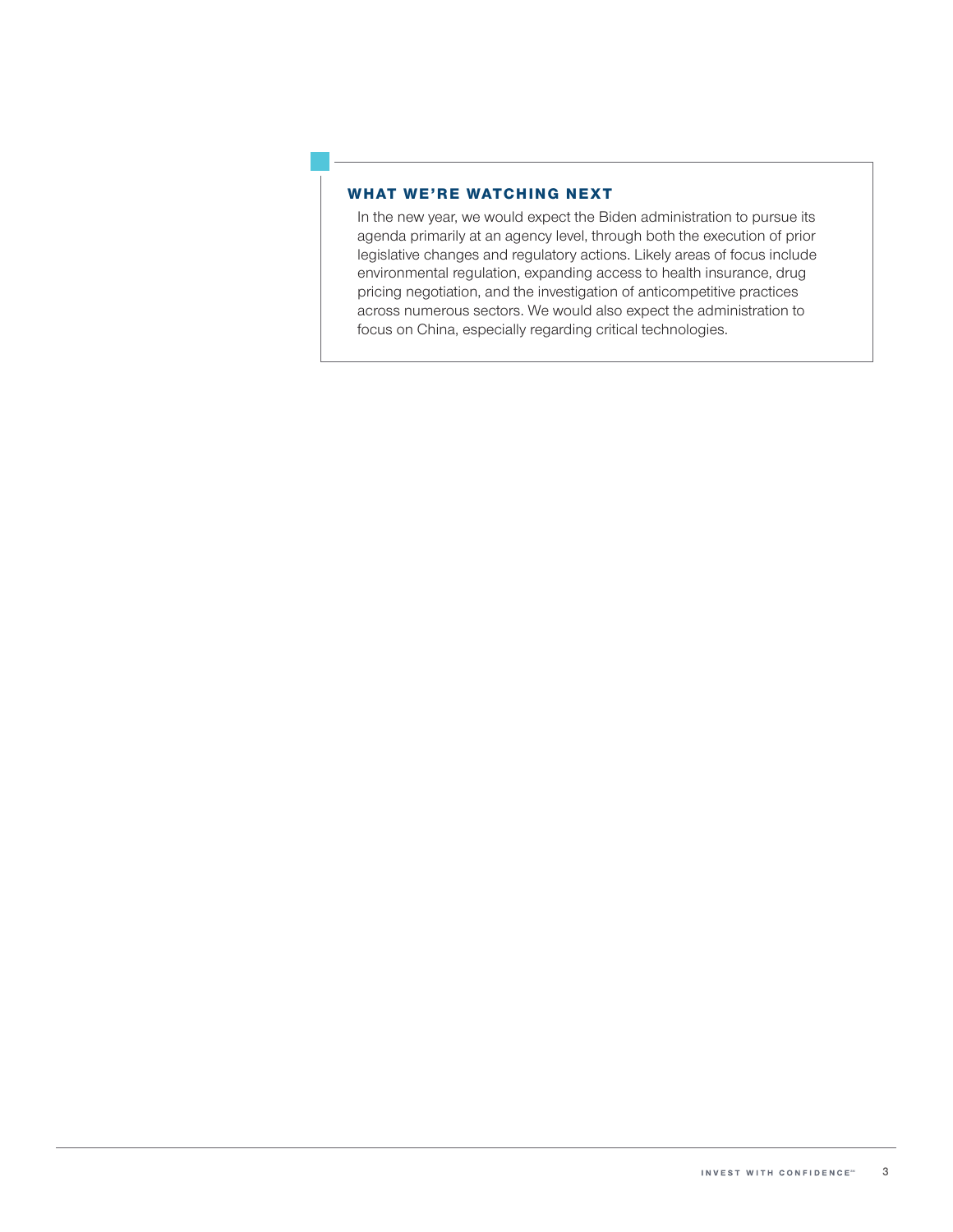#### WHAT WE'RE WATCHING NEXT

In the new year, we would expect the Biden administration to pursue its agenda primarily at an agency level, through both the execution of prior legislative changes and regulatory actions. Likely areas of focus include environmental regulation, expanding access to health insurance, drug pricing negotiation, and the investigation of anticompetitive practices across numerous sectors. We would also expect the administration to focus on China, especially regarding critical technologies.